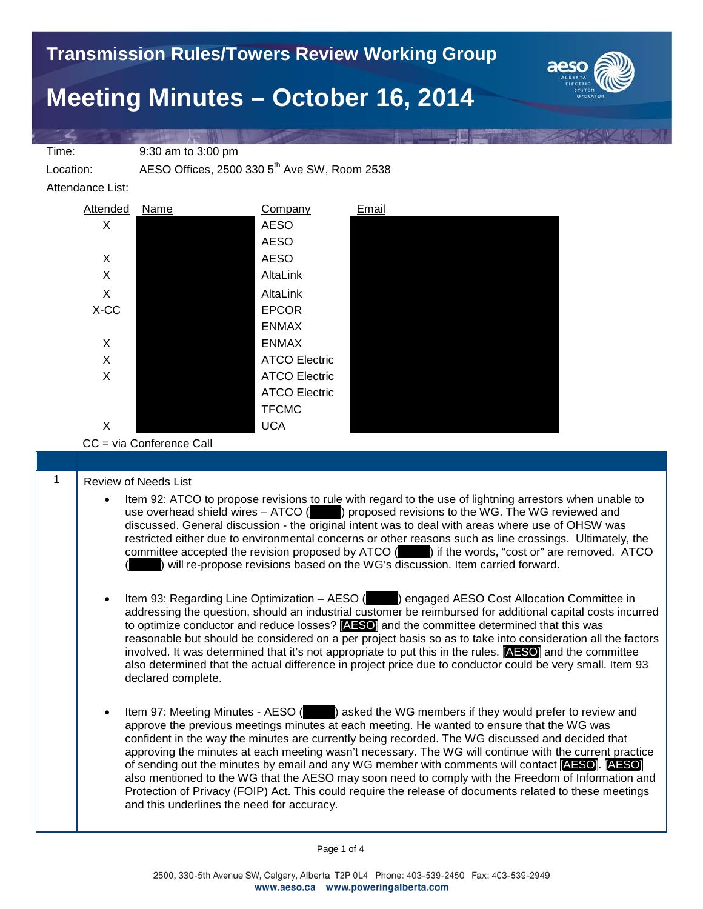

## **Meeting Minutes – October 16, 2014**

Time: 9:30 am to 3:00 pm

Location: AESO Offices, 2500 330 5<sup>th</sup> Ave SW, Room 2538

Attendance List:



CC = via Conference Call

## 1 | Review of Needs List

- Item 92: ATCO to propose revisions to rule with regard to the use of lightning arrestors when unable to use overhead shield wires – ATCO ( $\blacksquare$ ) proposed revisions to the WG. The WG reviewed and discussed. General discussion - the original intent was to deal with areas where use of OHSW was restricted either due to environmental concerns or other reasons such as line crossings. Ultimately, the committee accepted the revision proposed by ATCO (in an ) if the words, "cost or" are removed. ATCO committee accepted the revision proposed by ATCO ( ) will re-propose revisions based on the WG's discussion. Item carried forward.
- Item 93: Regarding Line Optimization AESO (Englarged AESO Cost Allocation Committee in addressing the question, should an industrial customer be reimbursed for additional capital costs incurred to optimize conductor and reduce losses? [AESO] and the committee determined that this was reasonable but should be considered on a per project basis so as to take into consideration all the factors involved. It was determined that it's not appropriate to put this in the rules. [AESO] and the committee also determined that the actual difference in project price due to conductor could be very small. Item 93 declared complete.
- Item 97: Meeting Minutes AESO ( $\blacksquare$ ) asked the WG members if they would prefer to review and approve the previous meetings minutes at each meeting. He wanted to ensure that the WG was confident in the way the minutes are currently being recorded. The WG discussed and decided that approving the minutes at each meeting wasn't necessary. The WG will continue with the current practice of sending out the minutes by email and any WG member with comments will contact [AESO]. [AESO] also mentioned to the WG that the AESO may soon need to comply with the Freedom of Information and Protection of Privacy (FOIP) Act. This could require the release of documents related to these meetings and this underlines the need for accuracy.

Page 1 of 4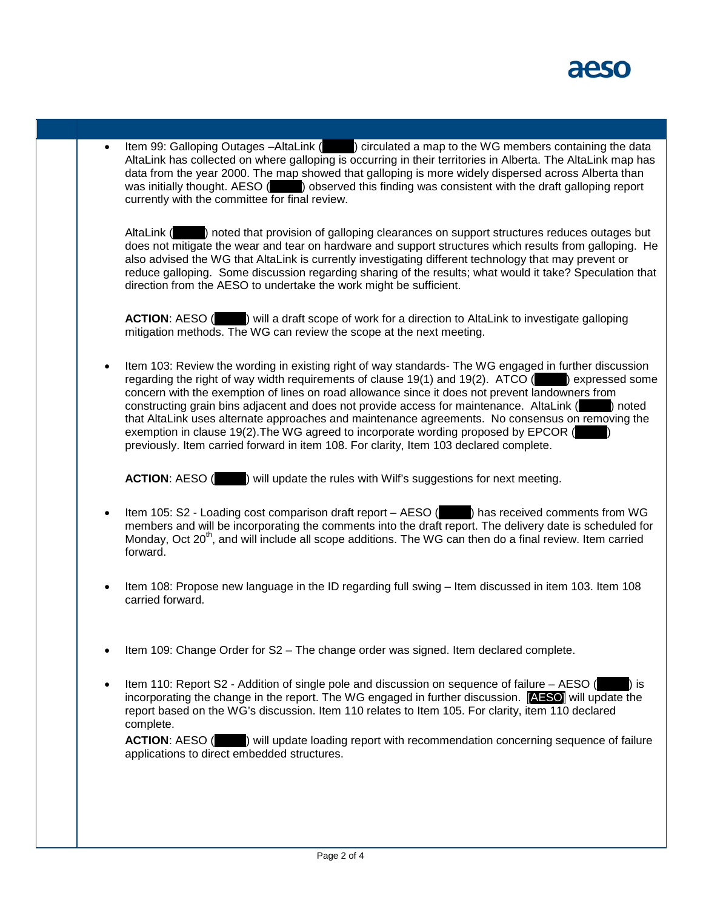• Item 99: Galloping Outages –AltaLink (\_\_\_\_\_) circulated a map to the WG members containing the data AltaLink has collected on where galloping is occurring in their territories in Alberta. The AltaLink map has data from the year 2000. The map showed that galloping is more widely dispersed across Alberta than<br>was initially thought. AESO (see ) observed this finding was consistent with the draft galloping report ) observed this finding was consistent with the draft galloping report currently with the committee for final review.

AltaLink () noted that provision of galloping clearances on support structures reduces outages but does not mitigate the wear and tear on hardware and support structures which results from galloping. He also advised the WG that AltaLink is currently investigating different technology that may prevent or reduce galloping. Some discussion regarding sharing of the results; what would it take? Speculation that direction from the AESO to undertake the work might be sufficient.

**ACTION:** AESO ( $\blacksquare$ ) will a draft scope of work for a direction to AltaLink to investigate galloping mitigation methods. The WG can review the scope at the next meeting.

• Item 103: Review the wording in existing right of way standards- The WG engaged in further discussion regarding the right of way width requirements of clause 19(1) and 19(2). ATCO  $($   $)$  expressed some concern with the exemption of lines on road allowance since it does not prevent landowners from constructing grain bins adjacent and does not provide access for maintenance. AltaLink (\_\_\_\_\_) noted that AltaLink uses alternate approaches and maintenance agreements. No consensus on removing the exemption in clause 19(2). The WG agreed to incorporate wording proposed by EPCOR ( previously. Item carried forward in item 108. For clarity, Item 103 declared complete.

**ACTION:** AESO ( $\blacksquare$ ) will update the rules with Wilf's suggestions for next meeting.

- Item 105: S2 Loading cost comparison draft report AESO (\_\_\_\_\_) has received comments from WG members and will be incorporating the comments into the draft report. The delivery date is scheduled for Monday, Oct 20<sup>th</sup>, and will include all scope additions. The WG can then do a final review. Item carried forward.
- Item 108: Propose new language in the ID regarding full swing Item discussed in item 103. Item 108 carried forward.
- Item 109: Change Order for S2 The change order was signed. Item declared complete.
- Item 110: Report S2 Addition of single pole and discussion on sequence of failure AESO  $($ incorporating the change in the report. The WG engaged in further discussion. [AESO] will update the report based on the WG's discussion. Item 110 relates to Item 105. For clarity, item 110 declared complete.

**ACTION:** AESO (  $\blacksquare$  ) will update loading report with recommendation concerning sequence of failure applications to direct embedded structures.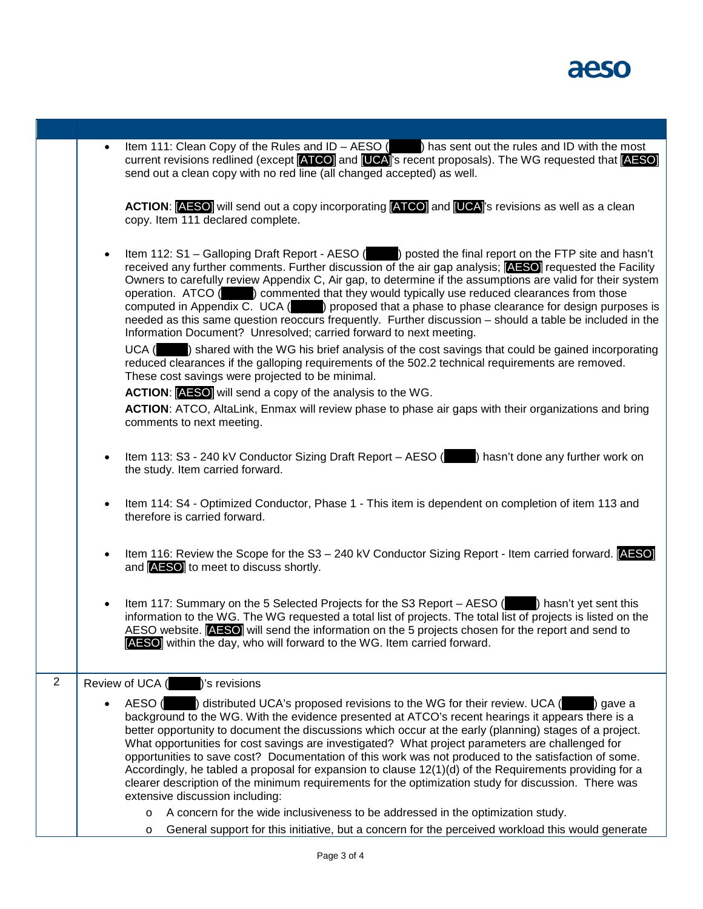

current revisions redlined (except **ATCO)** and **[UCA**]'s recent proposals). The WG requested that **[AESO]** send out a clean copy with no red line (all changed accepted) as well. ACTION: **[AESO]** will send out a copy incorporating **[ATCO]** and **[UCA]**'s revisions as well as a clean copy. Item 111 declared complete. • Item 112: S1 – Galloping Draft Report - AESO (\_\_\_\_\_) posted the final report on the FTP site and hasn't received any further comments. Further discussion of the air gap analysis; [AESO] requested the Facility Owners to carefully review Appendix C, Air gap, to determine if the assumptions are valid for their system operation. ATCO ( $\qquad$ ) commented that they would typically use reduced clearances from those computed in Appendix C. UCA (\_\_\_\_\_) proposed that a phase to phase clearance for design purposes is needed as this same question reoccurs frequently. Further discussion – should a table be included in the Information Document? Unresolved; carried forward to next meeting.  $UCA$  ( $\Box$ ) shared with the WG his brief analysis of the cost savings that could be gained incorporating reduced clearances if the galloping requirements of the 502.2 technical requirements are removed. These cost savings were projected to be minimal. **ACTION**: [AESO] will send a copy of the analysis to the WG. **ACTION**: ATCO, AltaLink, Enmax will review phase to phase air gaps with their organizations and bring comments to next meeting. Item 113: S3 - 240 kV Conductor Sizing Draft Report – AESO () hasn't done any further work on the study. Item carried forward. • Item 114: S4 - Optimized Conductor, Phase 1 - This item is dependent on completion of item 113 and therefore is carried forward. • Item 116: Review the Scope for the S3 – 240 kV Conductor Sizing Report - Item carried forward. [AESO] and [AESO] to meet to discuss shortly. Item 117: Summary on the 5 Selected Projects for the S3 Report – AESO (empty) hasn't yet sent this information to the WG. The WG requested a total list of projects. The total list of projects is listed on the AESO website. **[AESO]** will send the information on the 5 projects chosen for the report and send to [AESO] within the day, who will forward to the WG. Item carried forward. 2 Review of UCA (2008)'s revisions AESO (edge) distributed UCA's proposed revisions to the WG for their review. UCA (edge) gave a background to the WG. With the evidence presented at ATCO's recent hearings it appears there is a better opportunity to document the discussions which occur at the early (planning) stages of a project. What opportunities for cost savings are investigated? What project parameters are challenged for opportunities to save cost? Documentation of this work was not produced to the satisfaction of some. Accordingly, he tabled a proposal for expansion to clause 12(1)(d) of the Requirements providing for a clearer description of the minimum requirements for the optimization study for discussion. There was extensive discussion including: o A concern for the wide inclusiveness to be addressed in the optimization study.

Item 111: Clean Copy of the Rules and ID – AESO (see ) has sent out the rules and ID with the most

 $\circ$  General support for this initiative, but a concern for the perceived workload this would generate